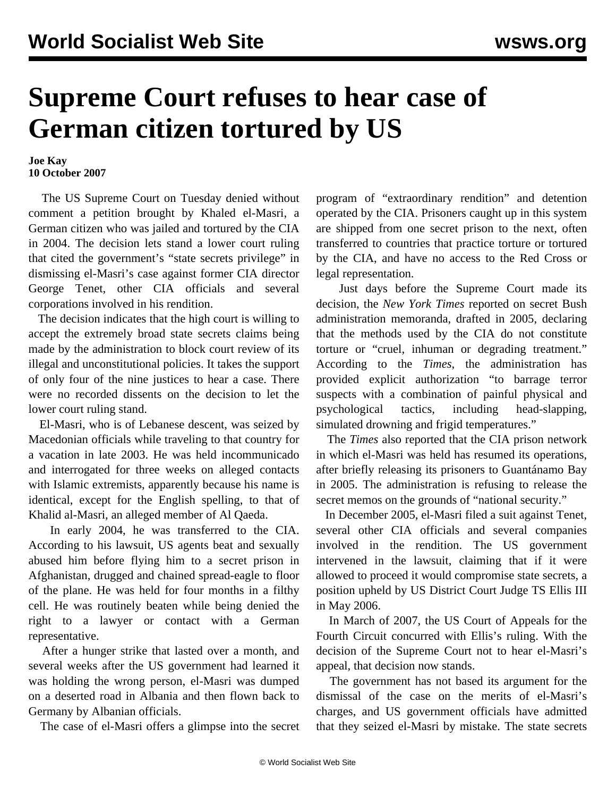## **Supreme Court refuses to hear case of German citizen tortured by US**

## **Joe Kay 10 October 2007**

 The US Supreme Court on Tuesday denied without comment a petition brought by Khaled el-Masri, a German citizen who was jailed and tortured by the CIA in 2004. The decision lets stand a lower court ruling that cited the government's "state secrets privilege" in dismissing el-Masri's case against former CIA director George Tenet, other CIA officials and several corporations involved in his rendition.

 The decision indicates that the high court is willing to accept the extremely broad state secrets claims being made by the administration to block court review of its illegal and unconstitutional policies. It takes the support of only four of the nine justices to hear a case. There were no recorded dissents on the decision to let the lower court ruling stand.

 El-Masri, who is of Lebanese descent, was seized by Macedonian officials while traveling to that country for a vacation in late 2003. He was held incommunicado and interrogated for three weeks on alleged contacts with Islamic extremists, apparently because his name is identical, except for the English spelling, to that of Khalid al-Masri, an alleged member of Al Qaeda.

 In early 2004, he was transferred to the CIA. According to his lawsuit, US agents beat and sexually abused him before flying him to a secret prison in Afghanistan, drugged and chained spread-eagle to floor of the plane. He was held for four months in a filthy cell. He was routinely beaten while being denied the right to a lawyer or contact with a German representative.

 After a hunger strike that lasted over a month, and several weeks after the US government had learned it was holding the wrong person, el-Masri was dumped on a deserted road in Albania and then flown back to Germany by Albanian officials.

The case of el-Masri offers a glimpse into the secret

program of "extraordinary rendition" and detention operated by the CIA. Prisoners caught up in this system are shipped from one secret prison to the next, often transferred to countries that practice torture or tortured by the CIA, and have no access to the Red Cross or legal representation.

 Just days before the Supreme Court made its decision, the *New York Times* reported on secret Bush administration memoranda, drafted in 2005, declaring that the methods used by the CIA do not constitute torture or "cruel, inhuman or degrading treatment." According to the *Times*, the administration has provided explicit authorization "to barrage terror suspects with a combination of painful physical and psychological tactics, including head-slapping, simulated drowning and frigid temperatures."

 The *Times* also reported that the CIA prison network in which el-Masri was held has resumed its operations, after briefly releasing its prisoners to Guantánamo Bay in 2005. The administration is refusing to release the secret memos on the grounds of "national security."

 In December 2005, el-Masri filed a suit against Tenet, several other CIA officials and several companies involved in the rendition. The US government intervened in the lawsuit, claiming that if it were allowed to proceed it would compromise state secrets, a position upheld by US District Court Judge TS Ellis III in May 2006.

 In March of 2007, the US Court of Appeals for the Fourth Circuit concurred with Ellis's ruling. With the decision of the Supreme Court not to hear el-Masri's appeal, that decision now stands.

 The government has not based its argument for the dismissal of the case on the merits of el-Masri's charges, and US government officials have admitted that they seized el-Masri by mistake. The state secrets